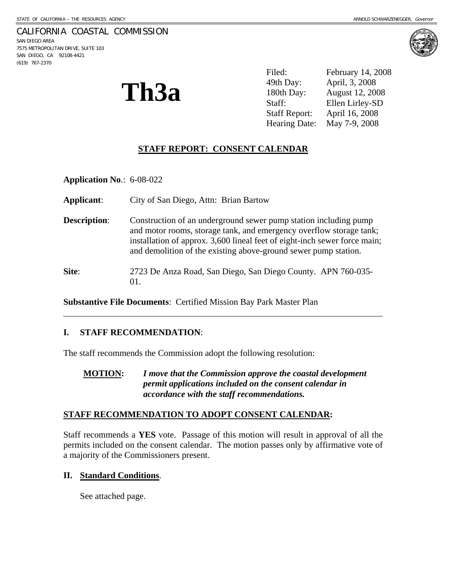### CALIFORNIA COASTAL COMMISSION

SAN DIEGO AREA 7575 METROPOLITAN DRIVE, SUITE 103 SAN DIEGO, CA 92108-4421 (619) 767-2370

 $\overline{a}$ 



**Th3a** 

Filed: February 14, 2008 49th Day: April, 3, 2008 180th Day: August 12, 2008 Staff: Ellen Lirley-SD Staff Report: April 16, 2008 Hearing Date: May 7-9, 2008

# **STAFF REPORT: CONSENT CALENDAR**

**Application No**.: 6-08-022

**Applicant**: City of San Diego, Attn: Brian Bartow

**Description:** Construction of an underground sewer pump station including pump and motor rooms, storage tank, and emergency overflow storage tank; installation of approx. 3,600 lineal feet of eight-inch sewer force main; and demolition of the existing above-ground sewer pump station.

**Site**: 2723 De Anza Road, San Diego, San Diego County. APN 760-035- 01.

**Substantive File Documents**: Certified Mission Bay Park Master Plan

#### **I. STAFF RECOMMENDATION**:

The staff recommends the Commission adopt the following resolution:

**MOTION:** *I move that the Commission approve the coastal development permit applications included on the consent calendar in accordance with the staff recommendations.* 

#### **STAFF RECOMMENDATION TO ADOPT CONSENT CALENDAR:**

Staff recommends a **YES** vote. Passage of this motion will result in approval of all the permits included on the consent calendar. The motion passes only by affirmative vote of a majority of the Commissioners present.

#### **II. Standard Conditions**.

See attached page.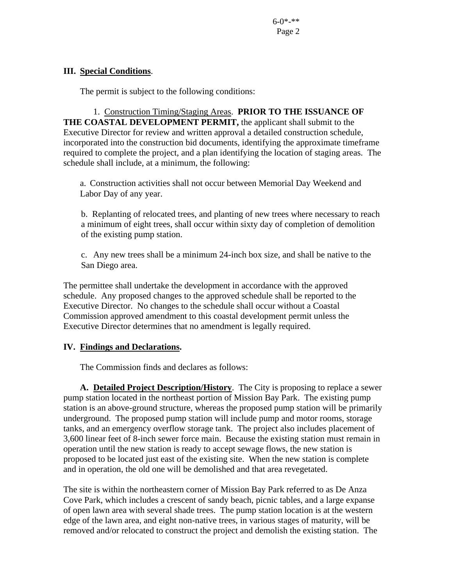# **III. Special Conditions**.

The permit is subject to the following conditions:

 1. Construction Timing/Staging Areas. **PRIOR TO THE ISSUANCE OF THE COASTAL DEVELOPMENT PERMIT,** the applicant shall submit to the Executive Director for review and written approval a detailed construction schedule, incorporated into the construction bid documents, identifying the approximate timeframe required to complete the project, and a plan identifying the location of staging areas. The schedule shall include, at a minimum, the following:

a. Construction activities shall not occur between Memorial Day Weekend and Labor Day of any year.

b. Replanting of relocated trees, and planting of new trees where necessary to reach a minimum of eight trees, shall occur within sixty day of completion of demolition of the existing pump station.

c. Any new trees shall be a minimum 24-inch box size, and shall be native to the San Diego area.

The permittee shall undertake the development in accordance with the approved schedule. Any proposed changes to the approved schedule shall be reported to the Executive Director. No changes to the schedule shall occur without a Coastal Commission approved amendment to this coastal development permit unless the Executive Director determines that no amendment is legally required.

### **IV. Findings and Declarations.**

The Commission finds and declares as follows:

**A. Detailed Project Description/History**. The City is proposing to replace a sewer pump station located in the northeast portion of Mission Bay Park. The existing pump station is an above-ground structure, whereas the proposed pump station will be primarily underground. The proposed pump station will include pump and motor rooms, storage tanks, and an emergency overflow storage tank. The project also includes placement of 3,600 linear feet of 8-inch sewer force main. Because the existing station must remain in operation until the new station is ready to accept sewage flows, the new station is proposed to be located just east of the existing site. When the new station is complete and in operation, the old one will be demolished and that area revegetated.

The site is within the northeastern corner of Mission Bay Park referred to as De Anza Cove Park, which includes a crescent of sandy beach, picnic tables, and a large expanse of open lawn area with several shade trees. The pump station location is at the western edge of the lawn area, and eight non-native trees, in various stages of maturity, will be removed and/or relocated to construct the project and demolish the existing station. The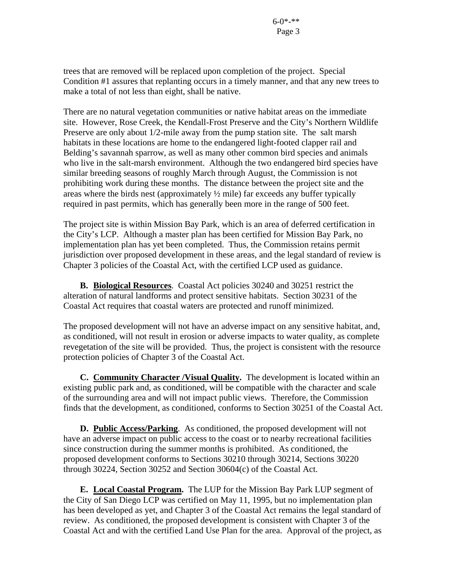trees that are removed will be replaced upon completion of the project. Special Condition #1 assures that replanting occurs in a timely manner, and that any new trees to make a total of not less than eight, shall be native.

There are no natural vegetation communities or native habitat areas on the immediate site. However, Rose Creek, the Kendall-Frost Preserve and the City's Northern Wildlife Preserve are only about 1/2-mile away from the pump station site. The salt marsh habitats in these locations are home to the endangered light-footed clapper rail and Belding's savannah sparrow, as well as many other common bird species and animals who live in the salt-marsh environment. Although the two endangered bird species have similar breeding seasons of roughly March through August, the Commission is not prohibiting work during these months. The distance between the project site and the areas where the birds nest (approximately ½ mile) far exceeds any buffer typically required in past permits, which has generally been more in the range of 500 feet.

The project site is within Mission Bay Park, which is an area of deferred certification in the City's LCP. Although a master plan has been certified for Mission Bay Park, no implementation plan has yet been completed. Thus, the Commission retains permit jurisdiction over proposed development in these areas, and the legal standard of review is Chapter 3 policies of the Coastal Act, with the certified LCP used as guidance.

 **B. Biological Resources**. Coastal Act policies 30240 and 30251 restrict the alteration of natural landforms and protect sensitive habitats. Section 30231 of the Coastal Act requires that coastal waters are protected and runoff minimized.

The proposed development will not have an adverse impact on any sensitive habitat, and, as conditioned, will not result in erosion or adverse impacts to water quality, as complete revegetation of the site will be provided. Thus, the project is consistent with the resource protection policies of Chapter 3 of the Coastal Act.

 **C. Community Character /Visual Quality.** The development is located within an existing public park and, as conditioned, will be compatible with the character and scale of the surrounding area and will not impact public views. Therefore, the Commission finds that the development, as conditioned, conforms to Section 30251 of the Coastal Act.

**D. Public Access/Parking**. As conditioned, the proposed development will not have an adverse impact on public access to the coast or to nearby recreational facilities since construction during the summer months is prohibited. As conditioned, the proposed development conforms to Sections 30210 through 30214, Sections 30220 through 30224, Section 30252 and Section 30604(c) of the Coastal Act.

 **E. Local Coastal Program.** The LUP for the Mission Bay Park LUP segment of the City of San Diego LCP was certified on May 11, 1995, but no implementation plan has been developed as yet, and Chapter 3 of the Coastal Act remains the legal standard of review. As conditioned, the proposed development is consistent with Chapter 3 of the Coastal Act and with the certified Land Use Plan for the area. Approval of the project, as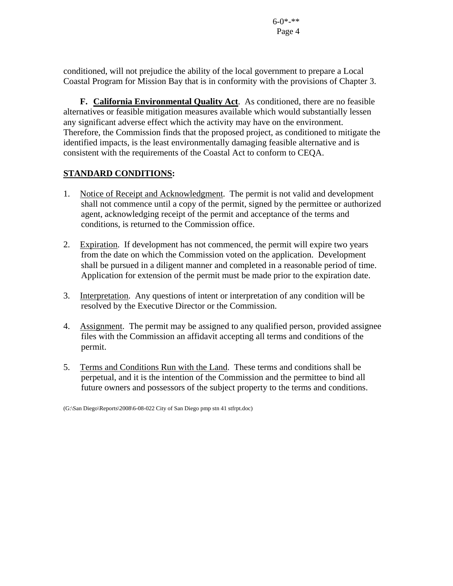conditioned, will not prejudice the ability of the local government to prepare a Local Coastal Program for Mission Bay that is in conformity with the provisions of Chapter 3.

**F. California Environmental Quality Act**. As conditioned, there are no feasible alternatives or feasible mitigation measures available which would substantially lessen any significant adverse effect which the activity may have on the environment. Therefore, the Commission finds that the proposed project, as conditioned to mitigate the identified impacts, is the least environmentally damaging feasible alternative and is consistent with the requirements of the Coastal Act to conform to CEQA.

# **STANDARD CONDITIONS:**

- 1. Notice of Receipt and Acknowledgment. The permit is not valid and development shall not commence until a copy of the permit, signed by the permittee or authorized agent, acknowledging receipt of the permit and acceptance of the terms and conditions, is returned to the Commission office.
- 2. Expiration. If development has not commenced, the permit will expire two years from the date on which the Commission voted on the application. Development shall be pursued in a diligent manner and completed in a reasonable period of time. Application for extension of the permit must be made prior to the expiration date.
- 3. Interpretation. Any questions of intent or interpretation of any condition will be resolved by the Executive Director or the Commission.
- 4. Assignment. The permit may be assigned to any qualified person, provided assignee files with the Commission an affidavit accepting all terms and conditions of the permit.
- 5. Terms and Conditions Run with the Land. These terms and conditions shall be perpetual, and it is the intention of the Commission and the permittee to bind all future owners and possessors of the subject property to the terms and conditions.

<sup>(</sup>G:\San Diego\Reports\2008\6-08-022 City of San Diego pmp stn 41 stfrpt.doc)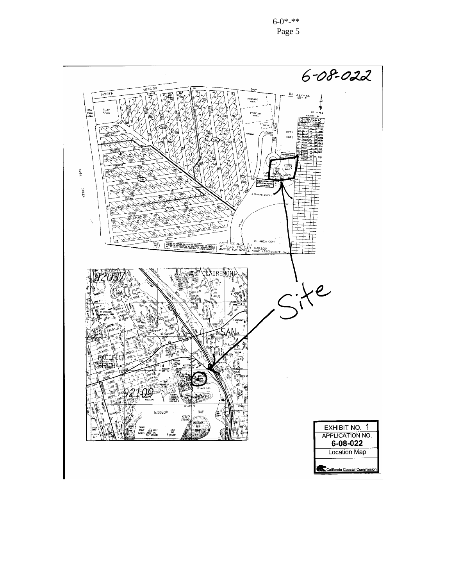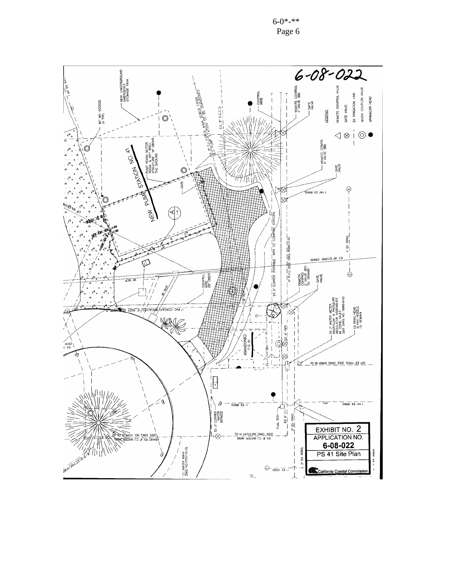